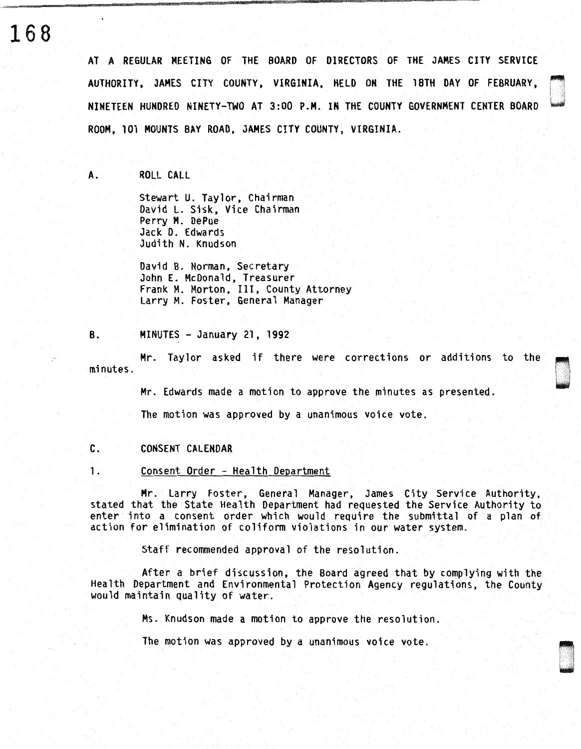**168** 

AT A REGULAR MEETING OF THE BOARD OF DIRECTORS OF THE JAMES CITY SERVICE AUTHORITY, JAMES CITY COUNTY, VIRGINIA, HELD ON THE 18TH DAY OF FEBRUARY, NINETEEN HUNDRED NINETY-TWO AT 3:00 P.M. IN THE COUNTY GOVERNMENT CENTER BOARD ~ ROOM, 101 MOUNTS BAY ROAD, JAMES CITY COUNTY, VIRGINIA.

A. ROLL CALL

Stewart U. Taylor, Chairman David L. Sisk, Vice Chairman Perry M. DePue Jack D. Edwards Judith N. Knudson

David B. Norman, Secretary John E. McDonald, Treasurer Frank M. Morton, III, County Attorney Larry M. Foster, General Manager

B. MINUTES - January 21, 1992

Mr. Taylor asked if there were corrections or additions to the minutes.

Mr. Edwards made a motion to approve the minutes as presented.

The motion was approved by a unanimous voice vote.

# C. CONSENT CALENDAR

1. Consent Order - Health Department

Mr. Larry Foster, General Manager, James City Service Authority, stated that the State Health Department had requested the Service Authority to enter into a consent order which would require the submittal of a plan of action for elimination of coliform violations in our water system.

Staff recommended approval of the resolution.

After a brief discussion, the Board agreed that by complying with the Health Department and Environmental Protection Agency regulations, the County would maintain quality of water.

Ms. Knudson made a motion to approve the resolution.

The motion was approved by a unanimous voice vote.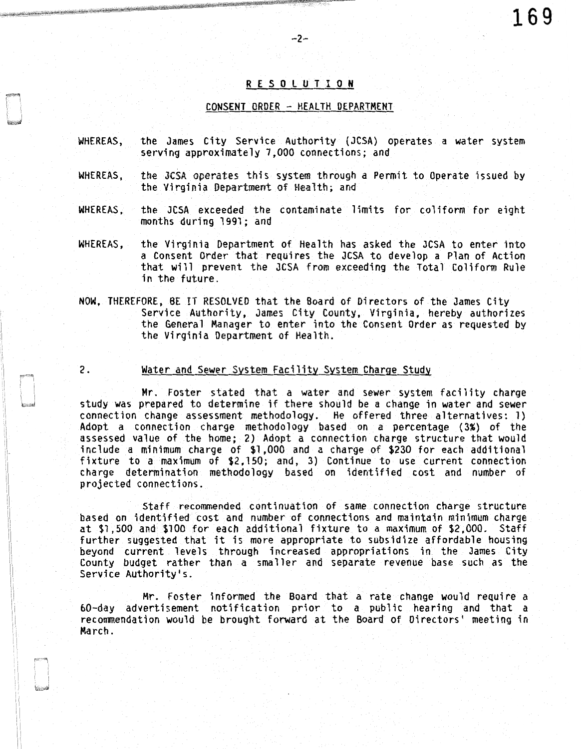## R E S 0 L U T I 0 N

-2-

### CONSENT ORDER - HEALTH DEPARTMENT

- WHEREAS, the James City Service Authority (JCSA) operates a water system serving approximately 7,000 connections; and
- WHEREAS, the JCSA operates this system through a Permit to Operate issued by the Virginia Department of Health; and
- WHEREAS, the JCSA exceeded the contaminate limits for coliform for eight months during 1991; and
- WHEREAS, the Virginia Department of Health has asked the JCSA to enter into a Consent Order that requires the JCSA to develop a Plan of Action that will prevent the JCSA from exceeding the Total Coliform Rule in the future.
- NOW, THEREFORE, BE IT RESOLVED that the Board of Directors of the James City Service Authority, James City County, Virginia, hereby authorizes the General Manager to enter into the Consent Order as requested by the Virginia Department of Health.
- 

### 2. Water and Sewer System Facility System Charge Study

Mr. Foster stated that a water and sewer system facility charge study was prepared to determine if there should be a change in water and sewer connection change assessment methodology. He offered three alternatives: 1) Adopt a connection charge methodology based on a percentage (3%) of the assessed value of the home; 2) Adopt a connection charge structure that would include a minimum charge of \$1,000 and a charge of \$230 for each additional fixture to a maximum of \$2,150; and, 3) Continue to use current connection charge determination methodology based on identified cost and number of projected connections.

Staff recommended continuation of same connection charge structure based on identified cost and number of connections and maintain minimum charge at \$1,500 and \$100 for each additional fixture to a maximum of \$2,000. Staff further suggested that it is more appropriate to subsidize affordable housing beyond current levels through increased appropriations in the James City County budget rather than a smaller and separate revenue base such as the Service Authority's.

Mr. Foster informed the Board that a rate change would require a 60-day advertisement notification prior to a public hearing and that a recommendation would be brought forward at the Board of Directors' meeting in March.